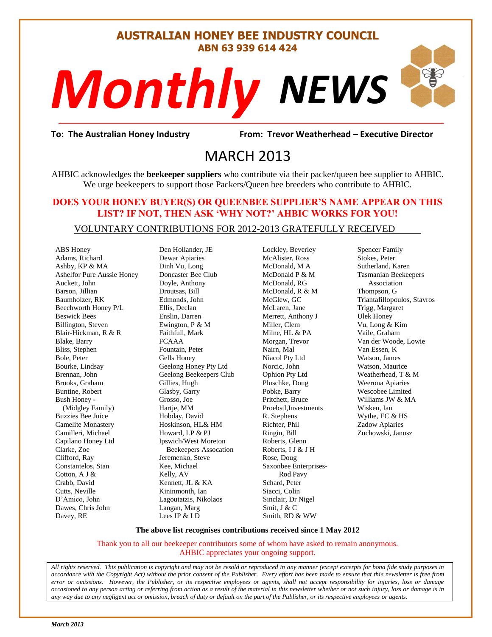#### **AUSTRALIAN HONEY BEE INDUSTRY COUNCIL ABN 63 939 614 424**

# *NEWS Monthly*

evor Weatherh<br>13 **To: The Australian Honey Industry From: Trevor Weatherhead – Executive Director**

## MARCH 2013

AHBIC acknowledges the **beekeeper suppliers** who contribute via their packer/queen bee supplier to AHBIC. We urge beekeepers to support those Packers/Queen bee breeders who contribute to AHBIC.

#### **DOES YOUR HONEY BUYER(S) OR QUEENBEE SUPPLIER'S NAME APPEAR ON THIS LIST? IF NOT, THEN ASK 'WHY NOT?' AHBIC WORKS FOR YOU!**

#### VOLUNTARY CONTRIBUTIONS FOR 2012-2013 GRATEFULLY RECEIVED

ABS Honey Adams, Richard Ashby, KP & MA Ashelfor Pure Aussie Honey Auckett, John Barson, Jillian Baumholzer, RK Beechworth Honey P/L Beswick Bees Billington, Steven Blair-Hickman, R & R Blake, Barry Bliss, Stephen Bole, Peter Bourke, Lindsay Brennan, John Brooks, Graham Buntine, Robert Bush Honey - (Midgley Family) Buzzies Bee Juice Camelite Monastery Camilleri, Michael Capilano Honey Ltd Clarke, Zoe Clifford, Ray Constantelos, Stan Cotton, A J & Crabb, David Cutts, Neville D'Amico, John Dawes, Chris John Davey, RE

Den Hollander, JE Dewar Apiaries Dinh Vu, Long Doncaster Bee Club Doyle, Anthony Droutsas, Bill Edmonds, John Ellis, Declan Enslin, Darren Ewington, P & M Faithfull, Mark FCAAA Fountain, Peter Gells Honey Geelong Honey Pty Ltd Geelong Beekeepers Club Gillies, Hugh Glasby, Garry Grosso, Joe Hartie, MM Hobday, David Hoskinson, HL& HM Howard, LP & PJ Ipswich/West Moreton Beekeepers Assocation Jeremenko, Steve Kee, Michael Kelly, AV Kennett, JL & KA Kininmonth, Ian Lagoutatzis, Nikolaos Langan, Marg Lees IP & LD

Lockley, Beverley McAlister, Ross McDonald, M A McDonald P & M McDonald, RG McDonald, R & M McGlew, GC McLaren, Jane Merrett, Anthony J Miller, Clem Milne, HL & PA Morgan, Trevor Nairn, Mal Niacol Pty Ltd Norcic, John Ophion Pty Ltd Pluschke, Doug Pobke, Barry Pritchett, Bruce Proebstl,Investments R. Stephens Richter, Phil Ringin, Bill Roberts, Glenn Roberts, I J & J H Rose, Doug Saxonbee Enterprises- Rod Pavy Schard, Peter Siacci, Colin Sinclair, Dr Nigel Smit, J & C Smith, RD & WW

Spencer Family Stokes, Peter Sutherland, Karen Tasmanian Beekeepers Association Thompson, G Triantafillopoulos, Stavros Trigg, Margaret Ulek Honey Vu, Long & Kim Vaile, Graham Van der Woode, Lowie Van Essen, K Watson, James Watson, Maurice Weatherhead, T & M Weerona Apiaries Wescobee Limited Williams JW & MA Wisken, Ian Wythe, EC & HS Zadow Apiaries Zuchowski, Janusz

#### **The above list recognises contributions received since 1 May 2012**

Thank you to all our beekeeper contributors some of whom have asked to remain anonymous. AHBIC appreciates your ongoing support.

*All rights reserved. This publication is copyright and may not be resold or reproduced in any manner (except excerpts for bona fide study purposes in accordance with the Copyright Act) without the prior consent of the Publisher. Every effort has been made to ensure that this newsletter is free from error or omissions. However, the Publisher, or its respective employees or agents, shall not accept responsibility for injuries, loss or damage occasioned to any person acting or referring from action as a result of the material in this newsletter whether or not such injury, loss or damage is in any way due to any negligent act or omission, breach of duty or default on the part of the Publisher, or its respective employees or agents.*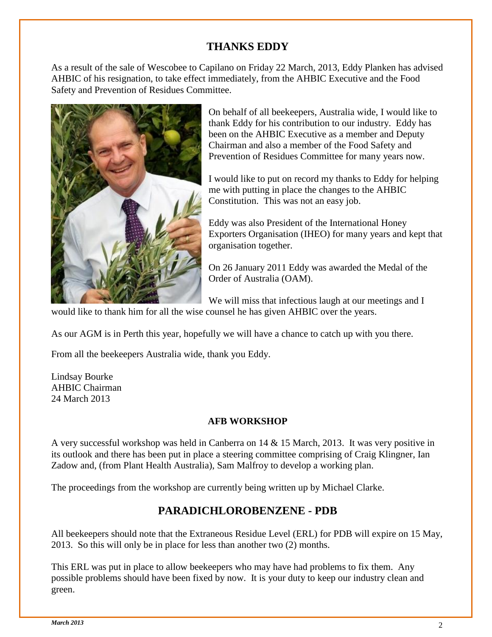#### **THANKS EDDY**

As a result of the sale of Wescobee to Capilano on Friday 22 March, 2013, Eddy Planken has advised AHBIC of his resignation, to take effect immediately, from the AHBIC Executive and the Food Safety and Prevention of Residues Committee.



On behalf of all beekeepers, Australia wide, I would like to thank Eddy for his contribution to our industry. Eddy has been on the AHBIC Executive as a member and Deputy Chairman and also a member of the Food Safety and Prevention of Residues Committee for many years now.

I would like to put on record my thanks to Eddy for helping me with putting in place the changes to the AHBIC Constitution. This was not an easy job.

Eddy was also President of the International Honey Exporters Organisation (IHEO) for many years and kept that organisation together.

On 26 January 2011 Eddy was awarded the Medal of the Order of Australia (OAM).

We will miss that infectious laugh at our meetings and I

would like to thank him for all the wise counsel he has given AHBIC over the years.

As our AGM is in Perth this year, hopefully we will have a chance to catch up with you there.

From all the beekeepers Australia wide, thank you Eddy.

Lindsay Bourke AHBIC Chairman 24 March 2013

#### **AFB WORKSHOP**

A very successful workshop was held in Canberra on 14 & 15 March, 2013. It was very positive in its outlook and there has been put in place a steering committee comprising of Craig Klingner, Ian Zadow and, (from Plant Health Australia), Sam Malfroy to develop a working plan.

The proceedings from the workshop are currently being written up by Michael Clarke.

#### **PARADICHLOROBENZENE - PDB**

All beekeepers should note that the Extraneous Residue Level (ERL) for PDB will expire on 15 May, 2013. So this will only be in place for less than another two (2) months.

This ERL was put in place to allow beekeepers who may have had problems to fix them. Any possible problems should have been fixed by now. It is your duty to keep our industry clean and green.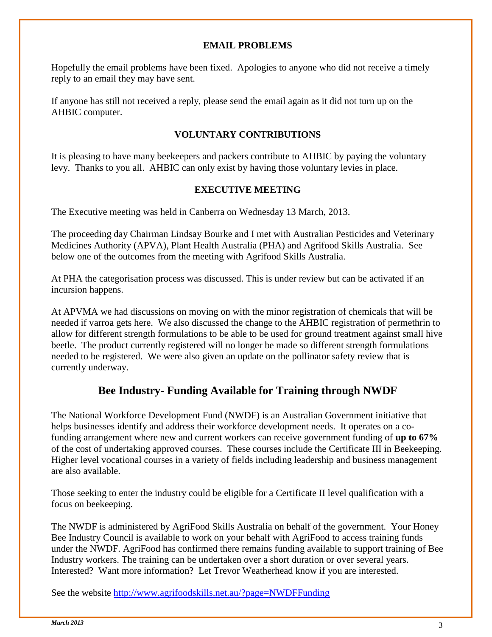#### **EMAIL PROBLEMS**

Hopefully the email problems have been fixed. Apologies to anyone who did not receive a timely reply to an email they may have sent.

If anyone has still not received a reply, please send the email again as it did not turn up on the AHBIC computer.

#### **VOLUNTARY CONTRIBUTIONS**

It is pleasing to have many beekeepers and packers contribute to AHBIC by paying the voluntary levy. Thanks to you all. AHBIC can only exist by having those voluntary levies in place.

#### **EXECUTIVE MEETING**

The Executive meeting was held in Canberra on Wednesday 13 March, 2013.

The proceeding day Chairman Lindsay Bourke and I met with Australian Pesticides and Veterinary Medicines Authority (APVA), Plant Health Australia (PHA) and Agrifood Skills Australia. See below one of the outcomes from the meeting with Agrifood Skills Australia.

At PHA the categorisation process was discussed. This is under review but can be activated if an incursion happens.

At APVMA we had discussions on moving on with the minor registration of chemicals that will be needed if varroa gets here. We also discussed the change to the AHBIC registration of permethrin to allow for different strength formulations to be able to be used for ground treatment against small hive beetle. The product currently registered will no longer be made so different strength formulations needed to be registered. We were also given an update on the pollinator safety review that is currently underway.

#### **Bee Industry- Funding Available for Training through NWDF**

The National Workforce Development Fund (NWDF) is an Australian Government initiative that helps businesses identify and address their workforce development needs. It operates on a cofunding arrangement where new and current workers can receive government funding of **up to 67%** of the cost of undertaking approved courses. These courses include the Certificate III in Beekeeping. Higher level vocational courses in a variety of fields including leadership and business management are also available.

Those seeking to enter the industry could be eligible for a Certificate II level qualification with a focus on beekeeping.

The NWDF is administered by AgriFood Skills Australia on behalf of the government. Your Honey Bee Industry Council is available to work on your behalf with AgriFood to access training funds under the NWDF. AgriFood has confirmed there remains funding available to support training of Bee Industry workers. The training can be undertaken over a short duration or over several years. Interested? Want more information? Let Trevor Weatherhead know if you are interested.

See the website <http://www.agrifoodskills.net.au/?page=NWDFFunding>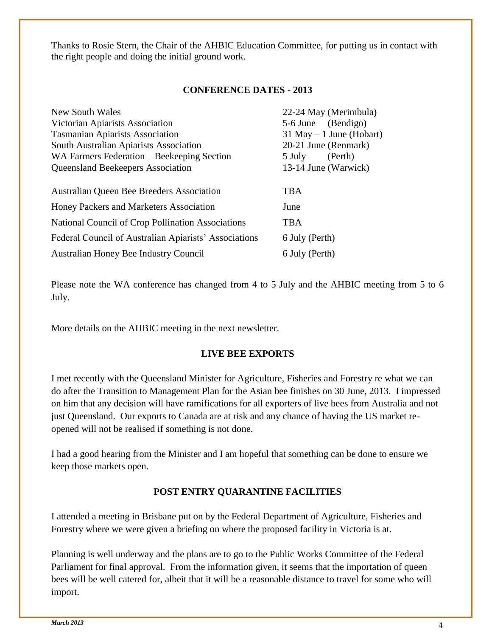Thanks to Rosie Stern, the Chair of the AHBIC Education Committee, for putting us in contact with the right people and doing the initial ground work.

#### **CONFERENCE DATES - 2013**

| New South Wales                                       | 22-24 May (Merimbula)       |
|-------------------------------------------------------|-----------------------------|
| Victorian Apiarists Association                       | 5-6 June (Bendigo)          |
| <b>Tasmanian Apiarists Association</b>                | $31$ May $-1$ June (Hobart) |
| South Australian Apiarists Association                | 20-21 June (Renmark)        |
| WA Farmers Federation – Beekeeping Section            | (Perth)<br>5 July           |
| Queensland Beekeepers Association                     | 13-14 June (Warwick)        |
|                                                       |                             |
| Australian Queen Bee Breeders Association             | TBA                         |
| Honey Packers and Marketers Association               | June                        |
| National Council of Crop Pollination Associations     | <b>TBA</b>                  |
| Federal Council of Australian Apiarists' Associations | 6 July (Perth)              |
| Australian Honey Bee Industry Council                 | 6 July (Perth)              |

Please note the WA conference has changed from 4 to 5 July and the AHBIC meeting from 5 to 6 July.

More details on the AHBIC meeting in the next newsletter.

#### **LIVE BEE EXPORTS**

I met recently with the Queensland Minister for Agriculture, Fisheries and Forestry re what we can do after the Transition to Management Plan for the Asian bee finishes on 30 June, 2013. I impressed on him that any decision will have ramifications for all exporters of live bees from Australia and not just Queensland. Our exports to Canada are at risk and any chance of having the US market reopened will not be realised if something is not done.

I had a good hearing from the Minister and I am hopeful that something can be done to ensure we keep those markets open.

#### **POST ENTRY QUARANTINE FACILITIES**

I attended a meeting in Brisbane put on by the Federal Department of Agriculture, Fisheries and Forestry where we were given a briefing on where the proposed facility in Victoria is at.

Planning is well underway and the plans are to go to the Public Works Committee of the Federal Parliament for final approval. From the information given, it seems that the importation of queen bees will be well catered for, albeit that it will be a reasonable distance to travel for some who will import.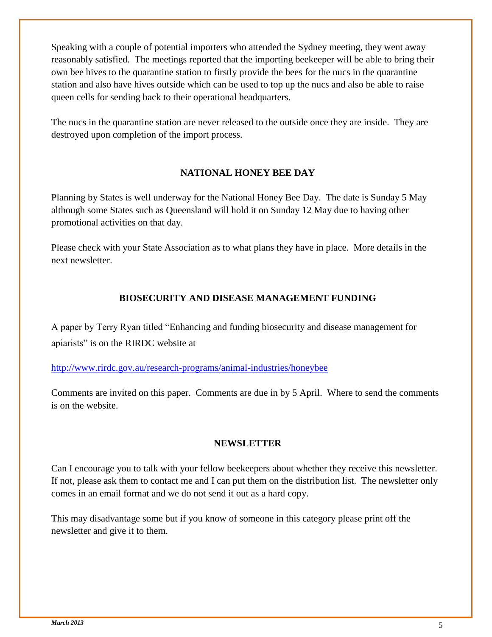Speaking with a couple of potential importers who attended the Sydney meeting, they went away reasonably satisfied. The meetings reported that the importing beekeeper will be able to bring their own bee hives to the quarantine station to firstly provide the bees for the nucs in the quarantine station and also have hives outside which can be used to top up the nucs and also be able to raise queen cells for sending back to their operational headquarters.

The nucs in the quarantine station are never released to the outside once they are inside. They are destroyed upon completion of the import process.

#### **NATIONAL HONEY BEE DAY**

Planning by States is well underway for the National Honey Bee Day. The date is Sunday 5 May although some States such as Queensland will hold it on Sunday 12 May due to having other promotional activities on that day.

Please check with your State Association as to what plans they have in place. More details in the next newsletter.

#### **BIOSECURITY AND DISEASE MANAGEMENT FUNDING**

A paper by Terry Ryan titled "Enhancing and funding biosecurity and disease management for apiarists" is on the RIRDC website at

<http://www.rirdc.gov.au/research-programs/animal-industries/honeybee>

Comments are invited on this paper. Comments are due in by 5 April. Where to send the comments is on the website.

#### **NEWSLETTER**

Can I encourage you to talk with your fellow beekeepers about whether they receive this newsletter. If not, please ask them to contact me and I can put them on the distribution list. The newsletter only comes in an email format and we do not send it out as a hard copy.

This may disadvantage some but if you know of someone in this category please print off the newsletter and give it to them.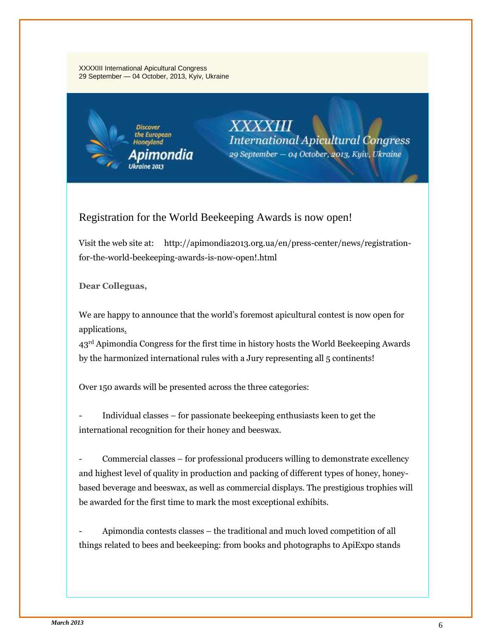#### XXXXIII International Apicultural Congress 29 September — 04 October, 2013, Kyiv, Ukraine



#### Registration for the World Beekeeping Awards is now open!

Visit the web site at: http://apimondia2013.org.ua/en/press-center/news/registrationfor-the-world-beekeeping-awards-is-now-open!.html

**Dear Colleguas,**

We are happy to announce that the world's foremost apicultural contest is now [open for](http://apimondia2013.org.ua/en/wba/register/)  [applications.](http://apimondia2013.org.ua/en/wba/register/)

43<sup>rd</sup> Apimondia Congress for the first time in history hosts the World Beekeeping Awards by the [harmonized international rules](http://apimondia2013.org.ua/en/wba/rules-and-regulations.html) with a [Jury](http://apimondia2013.org.ua/en/wba/judges.html) representing all 5 continents!

Over 150 awards will be presented across the three categories:

- [Individual classes](http://apimondia2013.org.ua/en/wba/categories-and-classes/individual-classes.html) – for passionate beekeeping enthusiasts keen to get the international recognition for their honey and beeswax.

- [Commercial classes](http://apimondia2013.org.ua/en/wba/categories-and-classes/commercial-classes.html) – for professional producers willing to demonstrate excellency and highest level of quality in production and packing of different types of honey, honeybased beverage and beeswax, as well as commercial displays. The prestigious [trophies](http://apimondia2013.org.ua/en/wba/prizes.html) will be awarded for the first time to mark the most exceptional exhibits.

- [Apimondia contests classes](http://apimondia2013.org.ua/en/wba/categories-and-classes/apimondia-contests-classes.html) – the traditional and much loved competition of all things related to bees and beekeeping: from books and photographs to ApiExpo stands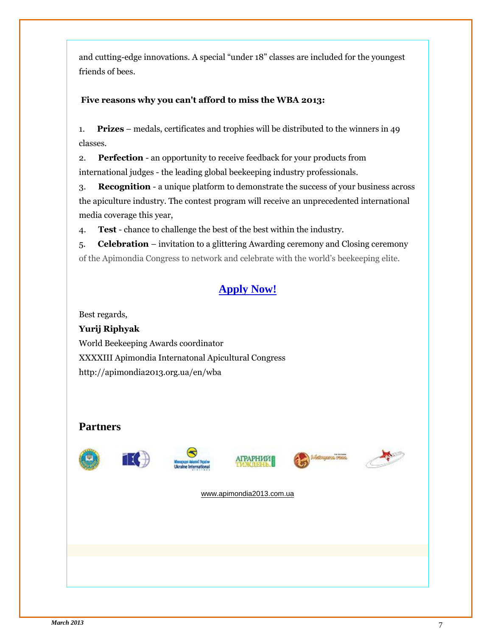and cutting-edge innovations. A special "under 18" classes are included for the youngest friends of bees.

#### **Five reasons why you can't afford to miss the WBA 2013:**

1. **Prizes** – medals, certificates and trophies will be distributed to the winners in 49 classes.

2. **Perfection** - an opportunity to receive feedback for your products from international judges - the leading global beekeeping industry professionals.

3. **Recognition** - a unique platform to demonstrate the success of your business across the apiculture industry. The contest program will receive an [unprecedented international](http://apimondia2013.org.ua/en/wba/sponsors.html)  [media coverage](http://apimondia2013.org.ua/en/wba/sponsors.html) this year,

4. **Test** - chance to challenge the best of the best within the industry.

5. **Celebration** – invitation to a glittering Awarding ceremony and Closing ceremony of the Apimondia Congress to network and celebrate with the world's beekeeping elite.

### **[Apply Now!](http://apimondia2013.org.ua/en/wba/register/)**

Best regards,

**Yurij Riphyak** World Beekeeping Awards coordinator XXXXIII Apimondia Internatonal Apicultural Congress <http://apimondia2013.org.ua/en/wba>

#### **Partners**













[www.apimondia2013.com.ua](http://www.apimondia2013.com.ua/)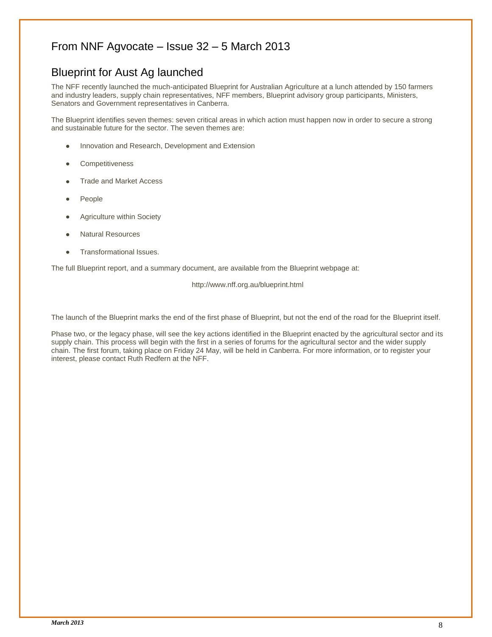#### From NNF Agvocate – Issue 32 – 5 March 2013

#### Blueprint for Aust Ag launched

The NFF recently launched the much-anticipated Blueprint for Australian Agriculture at a lunch attended by 150 farmers and industry leaders, supply chain representatives, NFF members, Blueprint advisory group participants, Ministers, Senators and Government representatives in Canberra.

The Blueprint identifies seven themes: seven critical areas in which action must happen now in order to secure a strong and sustainable future for the sector. The seven themes are:

- Innovation and Research, Development and Extension
- **Competitiveness**
- Trade and Market Access
- People
- Agriculture within Society
- Natural Resources
- Transformational Issues.

The full Blueprint report, and a summary document, are available from th[e Blueprint webpage](http://www.nff.org.au/blueprint) at:

http://www.nff.org.au/blueprint.html

The launch of the Blueprint marks the end of the first phase of Blueprint, but not the end of the road for the Blueprint itself.

Phase two, or the legacy phase, will see the key actions identified in the Blueprint enacted by the agricultural sector and its supply chain. This process will begin with the first in a series of forums for the agricultural sector and the wider supply chain. The first forum, taking place on Friday 24 May, will be held in Canberra. For more information, or to register your interest, please contact Ruth Redfern at the NFF.